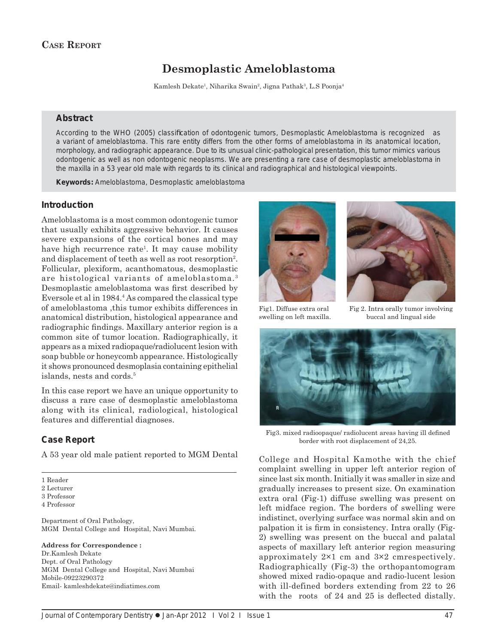# **Desmoplastic Ameloblastoma**

Kamlesh Dekate<sup>1</sup>, Niharika Swain<sup>2</sup>, Jigna Pathak<sup>3</sup>, L.S Poonja<sup>4</sup>

## **Abstract**

According to the WHO (2005) classification of odontogenic tumors, Desmoplastic Ameloblastoma is recognized as a variant of ameloblastoma. This rare entity differs from the other forms of ameloblastoma in its anatomical location, morphology, and radiographic appearance. Due to its unusual clinic-pathological presentation, this tumor mimics various odontogenic as well as non odontogenic neoplasms. We are presenting a rare case of desmoplastic ameloblastoma in the maxilla in a 53 year old male with regards to its clinical and radiographical and histological viewpoints.

*Keywords:* Ameloblastoma, Desmoplastic ameloblastoma

### **Introduction**

Ameloblastoma is a most common odontogenic tumor that usually exhibits aggressive behavior. It causes severe expansions of the cortical bones and may have high recurrence rate<sup>1</sup>. It may cause mobility and displacement of teeth as well as root resorption<sup>2</sup>. Follicular, plexiform, acanthomatous, desmoplastic are histological variants of ameloblastoma.3 Desmoplastic ameloblastoma was first described by Eversole et al in 1984.4 As compared the classical type of ameloblastoma ,this tumor exhibits differences in anatomical distribution, histological appearance and radiographic findings. Maxillary anterior region is a common site of tumor location. Radiographically, it appears as a mixed radiopaque/radiolucent lesion with soap bubble or honeycomb appearance. Histologically it shows pronounced desmoplasia containing epithelial islands, nests and cords.5

In this case report we have an unique opportunity to discuss a rare case of desmoplastic ameloblastoma along with its clinical, radiological, histological features and differential diagnoses.

# **Case Report**

A 53 year old male patient reported to MGM Dental

1 Reader

2 Lecturer

3 Professor

4 Professor

Department of Oral Pathology, MGM Dental College and Hospital, Navi Mumbai.

#### **Address for Correspondence :**

Dr.Kamlesh Dekate Dept. of Oral Pathology MGM Dental College and Hospital, Navi Mumbai Mobile-09223290372 Email- kamleshdekate@indiatimes.com





Fig1. Diffuse extra oral Fig 2. Intra orally tumor involving swelling on left maxilla. buccal and lingual side



Fig3. mixed radioopaque/ radiolucent areas having ill defined border with root displacement of 24,25.

College and Hospital Kamothe with the chief complaint swelling in upper left anterior region of since last six month. Initially it was smaller in size and gradually increases to present size. On examination extra oral (Fig-1) diffuse swelling was present on left midface region. The borders of swelling were indistinct, overlying surface was normal skin and on palpation it is firm in consistency. Intra orally (Fig-2) swelling was present on the buccal and palatal aspects of maxillary left anterior region measuring approximately 2×1 cm and 3×2 cmrespectively. Radiographically (Fig-3) the orthopantomogram showed mixed radio-opaque and radio-lucent lesion with ill-defined borders extending from 22 to 26 with the roots of  $24$  and  $25$  is deflected distally.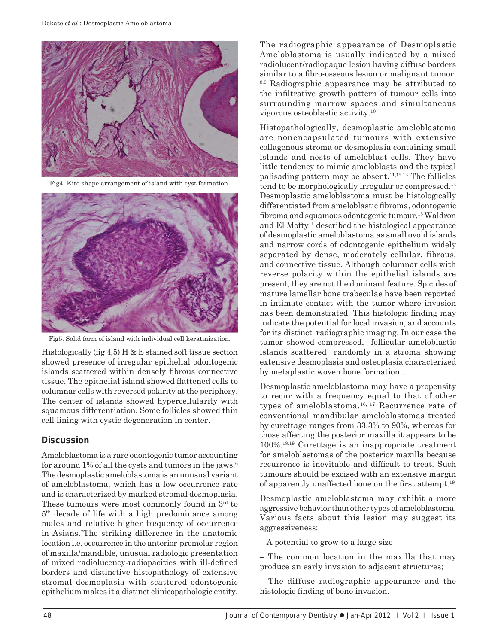

Fig4. Kite shape arrangement of island with cyst formation.



Fig5. Solid form of island with individual cell keratinization.

Histologically (fig 4,5) H & E stained soft tissue section showed presence of irregular epithelial odontogenic islands scattered within densely fibrous connective tissue. The epithelial island showed flattened cells to columnar cells with reversed polarity at the periphery. The center of islands showed hypercellularity with squamous differentiation. Some follicles showed thin cell lining with cystic degeneration in center.

# **Discussion**

Ameloblastoma is a rare odontogenic tumor accounting for around 1% of all the cysts and tumors in the jaws.<sup>6</sup> The desmoplastic ameloblastoma is an unusual variant of ameloblastoma, which has a low occurrence rate and is characterized by marked stromal desmoplasia. These tumours were most commonly found in 3<sup>rd</sup> to  $5<sup>th</sup>$  decade of life with a high predominance among males and relative higher frequency of occurrence in Asians.7 The striking difference in the anatomic location i.e. occurrence in the anterior-premolar region of maxilla/mandible, unusual radiologic presentation of mixed radiolucency-radiopacities with ill-defined borders and distinctive histopathology of extensive stromal desmoplasia with scattered odontogenic epithelium makes it a distinct clinicopathologic entity.

The radiographic appearance of Desmoplastic Ameloblastoma is usually indicated by a mixed radiolucent/radiopaque lesion having diffuse borders similar to a fibro-osseous lesion or malignant tumor. 8,9 Radiographic appearance may be attributed to the infiltrative growth pattern of tumour cells into surrounding marrow spaces and simultaneous vigorous osteoblastic activity.10

Histopathologically, desmoplastic ameloblastoma are nonencapsulated tumours with extensive collagenous stroma or desmoplasia containing small islands and nests of ameloblast cells. They have little tendency to mimic ameloblasts and the typical palisading pattern may be absent.<sup>11,12,13</sup> The follicles tend to be morphologically irregular or compressed.<sup>14</sup> Desmoplastic ameloblastoma must be histologically differentiated from ameloblastic fibroma, odontogenic fibroma and squamous odontogenic tumour.<sup>15</sup> Waldron and El Mofty<sup>11</sup> described the histological appearance of desmoplastic ameloblastoma as small ovoid islands and narrow cords of odontogenic epithelium widely separated by dense, moderately cellular, fibrous, and connective tissue. Although columnar cells with reverse polarity within the epithelial islands are present, they are not the dominant feature. Spicules of mature lamellar bone trabeculae have been reported in intimate contact with the tumor where invasion has been demonstrated. This histologic finding may indicate the potential for local invasion, and accounts for its distinct radiographic imaging. In our case the tumor showed compressed, follicular ameloblastic islands scattered randomly in a stroma showing extensive desmoplasia and osteoplasia characterized by metaplastic woven bone formation .

Desmoplastic ameloblastoma may have a propensity to recur with a frequency equal to that of other types of ameloblastoma.<sup>16, 17</sup> Recurrence rate of conventional mandibular ameloblastomas treated by curettage ranges from 33.3% to 90%, whereas for those affecting the posterior maxilla it appears to be 100%.18,19 Curettage is an inappropriate treatment for ameloblastomas of the posterior maxilla because recurrence is inevitable and difficult to treat. Such tumours should be excised with an extensive margin of apparently unaffected bone on the first attempt.<sup>19</sup>

Desmoplastic ameloblastoma may exhibit a more aggressive behavior than other types of ameloblastoma. Various facts about this lesion may suggest its aggressiveness:

– A potential to grow to a large size

– The common location in the maxilla that may produce an early invasion to adjacent structures;

– The diffuse radiographic appearance and the histologic finding of bone invasion.